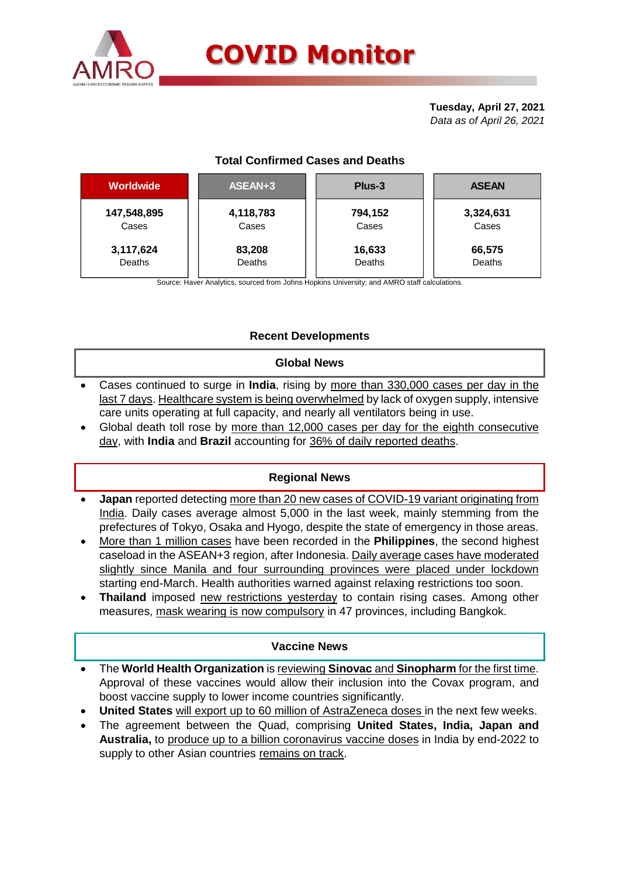

# **COVID Monitor**

**Tuesday, April 27, 2021** *Data as of April 26, 2021*

# **Total Confirmed Cases and Deaths**

| <b>Worldwide</b> | ASEAN+3   | Plus-3  | <b>ASEAN</b> |  |  |
|------------------|-----------|---------|--------------|--|--|
| 147,548,895      | 4,118,783 | 794,152 | 3,324,631    |  |  |
| Cases            | Cases     | Cases   | Cases        |  |  |
| 3,117,624        | 83,208    | 16,633  | 66,575       |  |  |
| Deaths           | Deaths    | Deaths  | Deaths       |  |  |
|                  |           |         |              |  |  |

Source: Haver Analytics, sourced from Johns Hopkins University; and AMRO staff calculations.

## **Recent Developments**

### **Global News**

- Cases continued to surge in **India**, rising by more than 330,000 cases per day in the last 7 days. Healthcare system is being overwhelmed by lack of oxygen supply, intensive care units operating at full capacity, and nearly all ventilators being in use.
- Global death toll rose by more than 12,000 cases per day for the eighth consecutive day, with **India** and **Brazil** accounting for 36% of daily reported deaths.

### **Regional News**

- **Japan** reported detecting more than 20 new cases of COVID-19 variant originating from India. Daily cases average almost 5,000 in the last week, mainly stemming from the prefectures of Tokyo, Osaka and Hyogo, despite the state of emergency in those areas.
- More than 1 million cases have been recorded in the **Philippines**, the second highest caseload in the ASEAN+3 region, after Indonesia. Daily average cases have moderated slightly since Manila and four surrounding provinces were placed under lockdown starting end-March. Health authorities warned against relaxing restrictions too soon.
- **Thailand** imposed new restrictions yesterday to contain rising cases. Among other measures, mask wearing is now compulsory in 47 provinces, including Bangkok.

### **Vaccine News**

- The **World Health Organization** is reviewing **Sinovac** and **Sinopharm** for the first time. Approval of these vaccines would allow their inclusion into the Covax program, and boost vaccine supply to lower income countries significantly.
- **United States** will export up to 60 million of AstraZeneca doses in the next few weeks.
- The agreement between the Quad, comprising **United States, India, Japan and Australia,** to produce up to a billion coronavirus vaccine doses in India by end-2022 to supply to other Asian countries remains on track.